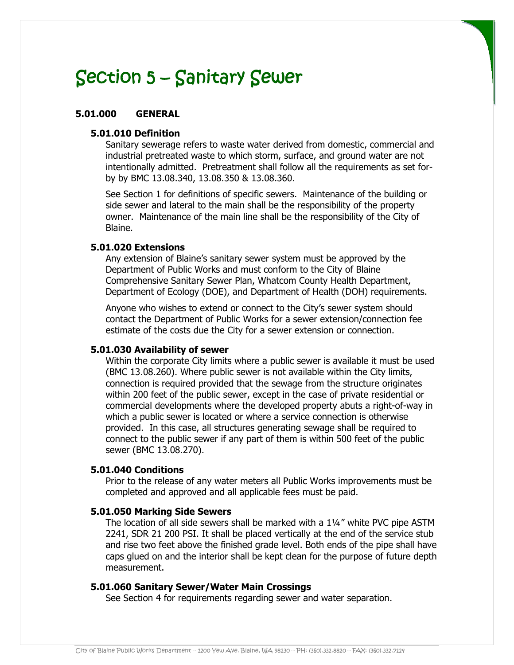### **5.01.000 GENERAL**

### **5.01.010 Definition**

Sanitary sewerage refers to waste water derived from domestic, commercial and industrial pretreated waste to which storm, surface, and ground water are not intentionally admitted. Pretreatment shall follow all the requirements as set forby by BMC 13.08.340, 13.08.350 & 13.08.360.

See Section 1 for definitions of specific sewers. Maintenance of the building or side sewer and lateral to the main shall be the responsibility of the property owner. Maintenance of the main line shall be the responsibility of the City of Blaine.

#### **5.01.020 Extensions**

Any extension of Blaine's sanitary sewer system must be approved by the Department of Public Works and must conform to the City of Blaine Comprehensive Sanitary Sewer Plan, Whatcom County Health Department, Department of Ecology (DOE), and Department of Health (DOH) requirements.

Anyone who wishes to extend or connect to the City's sewer system should contact the Department of Public Works for a sewer extension/connection fee estimate of the costs due the City for a sewer extension or connection.

#### **5.01.030 Availability of sewer**

Within the corporate City limits where a public sewer is available it must be used (BMC 13.08.260). Where public sewer is not available within the City limits, connection is required provided that the sewage from the structure originates within 200 feet of the public sewer, except in the case of private residential or commercial developments where the developed property abuts a right-of-way in which a public sewer is located or where a service connection is otherwise provided. In this case, all structures generating sewage shall be required to connect to the public sewer if any part of them is within 500 feet of the public sewer (BMC 13.08.270).

#### **5.01.040 Conditions**

Prior to the release of any water meters all Public Works improvements must be completed and approved and all applicable fees must be paid.

#### **5.01.050 Marking Side Sewers**

The location of all side sewers shall be marked with a 1¼" white PVC pipe ASTM 2241, SDR 21 200 PSI. It shall be placed vertically at the end of the service stub and rise two feet above the finished grade level. Both ends of the pipe shall have caps glued on and the interior shall be kept clean for the purpose of future depth measurement.

#### **5.01.060 Sanitary Sewer/Water Main Crossings**

See Section 4 for requirements regarding sewer and water separation.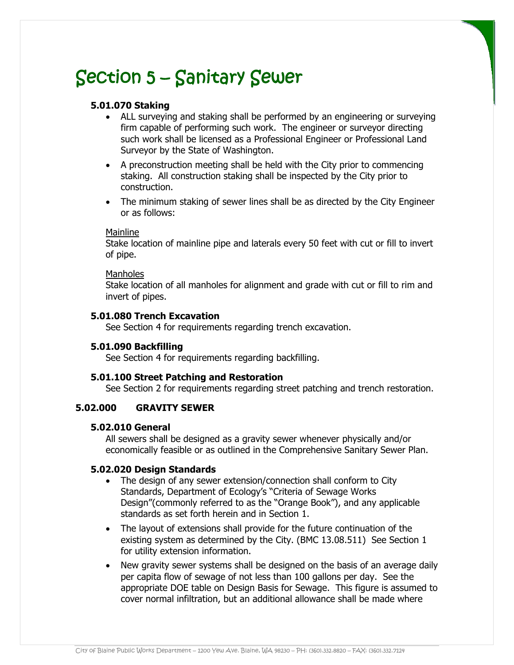## **5.01.070 Staking**

- ALL surveying and staking shall be performed by an engineering or surveying firm capable of performing such work. The engineer or surveyor directing such work shall be licensed as a Professional Engineer or Professional Land Surveyor by the State of Washington.
- A preconstruction meeting shall be held with the City prior to commencing staking. All construction staking shall be inspected by the City prior to construction.
- The minimum staking of sewer lines shall be as directed by the City Engineer or as follows:

#### Mainline

Stake location of mainline pipe and laterals every 50 feet with cut or fill to invert of pipe.

#### **Manholes**

Stake location of all manholes for alignment and grade with cut or fill to rim and invert of pipes.

#### **5.01.080 Trench Excavation**

See Section 4 for requirements regarding trench excavation.

#### **5.01.090 Backfilling**

See Section 4 for requirements regarding backfilling.

#### **5.01.100 Street Patching and Restoration**

See Section 2 for requirements regarding street patching and trench restoration.

## **5.02.000 GRAVITY SEWER**

#### **5.02.010 General**

All sewers shall be designed as a gravity sewer whenever physically and/or economically feasible or as outlined in the Comprehensive Sanitary Sewer Plan.

#### **5.02.020 Design Standards**

- The design of any sewer extension/connection shall conform to City Standards, Department of Ecology's "Criteria of Sewage Works Design"(commonly referred to as the "Orange Book"), and any applicable standards as set forth herein and in Section 1.
- The layout of extensions shall provide for the future continuation of the existing system as determined by the City. (BMC 13.08.511) See Section 1 for utility extension information.
- New gravity sewer systems shall be designed on the basis of an average daily per capita flow of sewage of not less than 100 gallons per day. See the appropriate DOE table on Design Basis for Sewage. This figure is assumed to cover normal infiltration, but an additional allowance shall be made where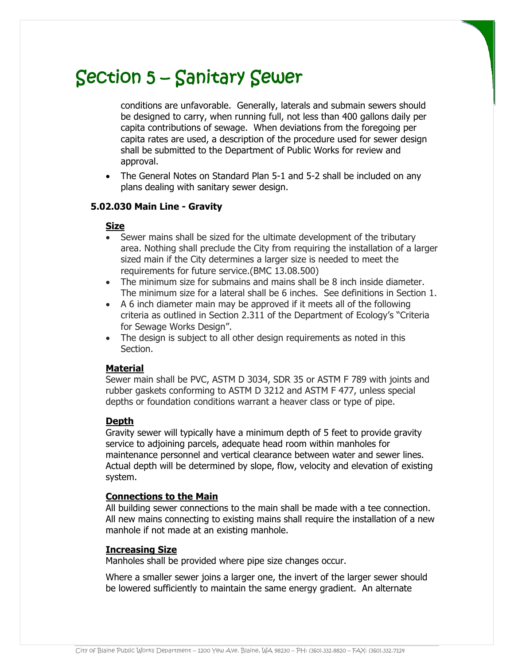conditions are unfavorable. Generally, laterals and submain sewers should be designed to carry, when running full, not less than 400 gallons daily per capita contributions of sewage. When deviations from the foregoing per capita rates are used, a description of the procedure used for sewer design shall be submitted to the Department of Public Works for review and approval.

 The General Notes on Standard Plan 5-1 and 5-2 shall be included on any plans dealing with sanitary sewer design.

## **5.02.030 Main Line - Gravity**

## **Size**

- Sewer mains shall be sized for the ultimate development of the tributary area. Nothing shall preclude the City from requiring the installation of a larger sized main if the City determines a larger size is needed to meet the requirements for future service.(BMC 13.08.500)
- The minimum size for submains and mains shall be 8 inch inside diameter. The minimum size for a lateral shall be 6 inches. See definitions in Section 1.
- A 6 inch diameter main may be approved if it meets all of the following criteria as outlined in Section 2.311 of the Department of Ecology's "Criteria for Sewage Works Design".
- The design is subject to all other design requirements as noted in this Section.

## **Material**

Sewer main shall be PVC, ASTM D 3034, SDR 35 or ASTM F 789 with joints and rubber gaskets conforming to ASTM D 3212 and ASTM F 477, unless special depths or foundation conditions warrant a heaver class or type of pipe.

## **Depth**

Gravity sewer will typically have a minimum depth of 5 feet to provide gravity service to adjoining parcels, adequate head room within manholes for maintenance personnel and vertical clearance between water and sewer lines. Actual depth will be determined by slope, flow, velocity and elevation of existing system.

## **Connections to the Main**

All building sewer connections to the main shall be made with a tee connection. All new mains connecting to existing mains shall require the installation of a new manhole if not made at an existing manhole.

## **Increasing Size**

Manholes shall be provided where pipe size changes occur.

Where a smaller sewer joins a larger one, the invert of the larger sewer should be lowered sufficiently to maintain the same energy gradient. An alternate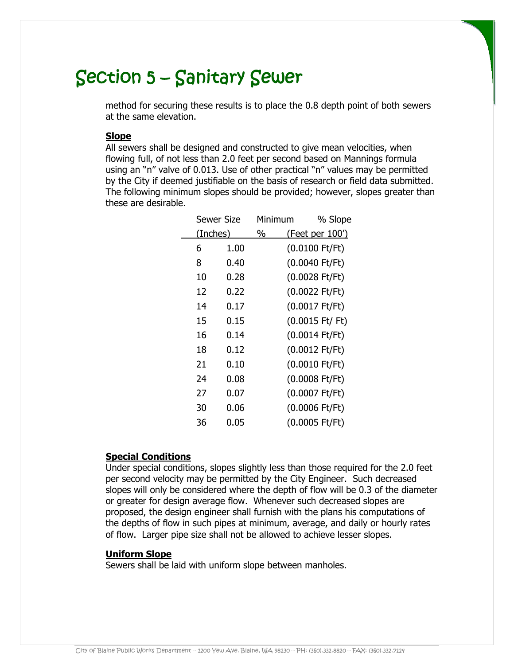method for securing these results is to place the 0.8 depth point of both sewers at the same elevation.

#### **Slope**

All sewers shall be designed and constructed to give mean velocities, when flowing full, of not less than 2.0 feet per second based on Mannings formula using an "n" valve of 0.013. Use of other practical "n" values may be permitted by the City if deemed justifiable on the basis of research or field data submitted. The following minimum slopes should be provided; however, slopes greater than these are desirable.

|          | Sewer Size | Minimum | % Slope                           |  |
|----------|------------|---------|-----------------------------------|--|
| (Inches) |            | %       | <u>(Feet per 100')</u>            |  |
| 6        | 1.00       |         | $(0.0100$ Ft/Ft)                  |  |
| 8        | 0.40       |         | (0.0040 Ft/Ft)                    |  |
| 10       | 0.28       |         | $(0.0028$ Ft/Ft)                  |  |
| 12       | 0.22       |         | $(0.0022$ Ft/Ft)                  |  |
| 14       | 0.17       |         | (0.0017 Ft/Ft)                    |  |
| 15       | 0.15       |         | $(0.0015 \text{ Ft} / \text{Ft})$ |  |
| 16       | 0.14       |         | (0.0014 Ft/Ft)                    |  |
| 18       | 0.12       |         | $(0.0012$ Ft/Ft)                  |  |
| 21       | 0.10       |         | (0.0010 Ft/Ft)                    |  |
| 24       | 0.08       |         | (0.0008 Ft/Ft)                    |  |
| 27       | 0.07       |         | (0.0007 Ft/Ft)                    |  |
| 30       | 0.06       |         | $(0.0006$ Ft/Ft)                  |  |
| 36       | 0.05       |         | (0.0005 Ft/Ft)                    |  |

#### **Special Conditions**

Under special conditions, slopes slightly less than those required for the 2.0 feet per second velocity may be permitted by the City Engineer. Such decreased slopes will only be considered where the depth of flow will be 0.3 of the diameter or greater for design average flow. Whenever such decreased slopes are proposed, the design engineer shall furnish with the plans his computations of the depths of flow in such pipes at minimum, average, and daily or hourly rates of flow. Larger pipe size shall not be allowed to achieve lesser slopes.

#### **Uniform Slope**

Sewers shall be laid with uniform slope between manholes.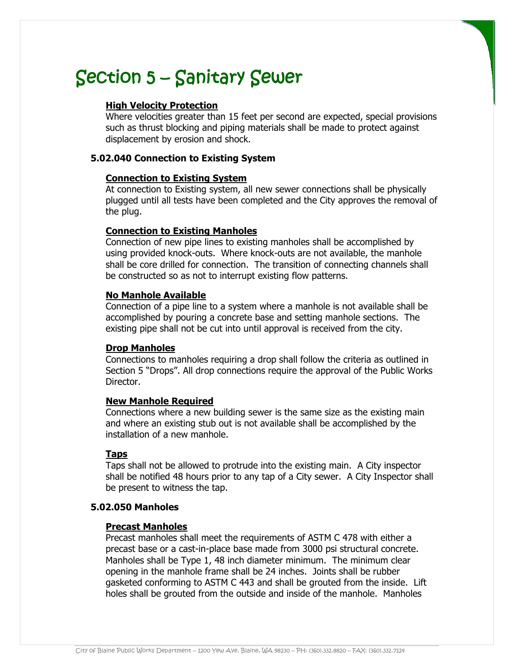## **High Velocity Protection**

Where velocities greater than 15 feet per second are expected, special provisions such as thrust blocking and piping materials shall be made to protect against displacement by erosion and shock.

## **5.02.040 Connection to Existing System**

## **Connection to Existing System**

At connection to Existing system, all new sewer connections shall be physically plugged until all tests have been completed and the City approves the removal of the plug.

## **Connection to Existing Manholes**

Connection of new pipe lines to existing manholes shall be accomplished by using provided knock-outs. Where knock-outs are not available, the manhole shall be core drilled for connection. The transition of connecting channels shall be constructed so as not to interrupt existing flow patterns.

## **No Manhole Available**

Connection of a pipe line to a system where a manhole is not available shall be accomplished by pouring a concrete base and setting manhole sections. The existing pipe shall not be cut into until approval is received from the city.

## **Drop Manholes**

Connections to manholes requiring a drop shall follow the criteria as outlined in Section 5 "Drops". All drop connections require the approval of the Public Works Director.

## **New Manhole Required**

Connections where a new building sewer is the same size as the existing main and where an existing stub out is not available shall be accomplished by the installation of a new manhole.

## **Taps**

Taps shall not be allowed to protrude into the existing main. A City inspector shall be notified 48 hours prior to any tap of a City sewer. A City Inspector shall be present to witness the tap.

## **5.02.050 Manholes**

## **Precast Manholes**

Precast manholes shall meet the requirements of ASTM C 478 with either a precast base or a cast-in-place base made from 3000 psi structural concrete. Manholes shall be Type 1, 48 inch diameter minimum. The minimum clear opening in the manhole frame shall be 24 inches. Joints shall be rubber gasketed conforming to ASTM C 443 and shall be grouted from the inside. Lift holes shall be grouted from the outside and inside of the manhole. Manholes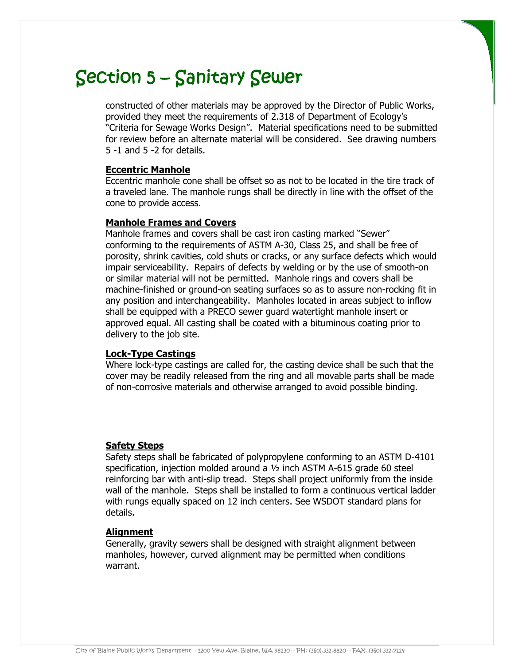constructed of other materials may be approved by the Director of Public Works, provided they meet the requirements of 2.318 of Department of Ecology's "Criteria for Sewage Works Design". Material specifications need to be submitted for review before an alternate material will be considered. See drawing numbers 5 -1 and 5 -2 for details.

### **Eccentric Manhole**

Eccentric manhole cone shall be offset so as not to be located in the tire track of a traveled lane. The manhole rungs shall be directly in line with the offset of the cone to provide access.

#### **Manhole Frames and Covers**

Manhole frames and covers shall be cast iron casting marked "Sewer" conforming to the requirements of ASTM A-30, Class 25, and shall be free of porosity, shrink cavities, cold shuts or cracks, or any surface defects which would impair serviceability. Repairs of defects by welding or by the use of smooth-on or similar material will not be permitted. Manhole rings and covers shall be machine-finished or ground-on seating surfaces so as to assure non-rocking fit in any position and interchangeability. Manholes located in areas subject to inflow shall be equipped with a PRECO sewer guard watertight manhole insert or approved equal. All casting shall be coated with a bituminous coating prior to delivery to the job site.

#### **Lock-Type Castings**

Where lock-type castings are called for, the casting device shall be such that the cover may be readily released from the ring and all movable parts shall be made of non-corrosive materials and otherwise arranged to avoid possible binding.

## **Safety Steps**

Safety steps shall be fabricated of polypropylene conforming to an ASTM D-4101 specification, injection molded around a ½ inch ASTM A-615 grade 60 steel reinforcing bar with anti-slip tread. Steps shall project uniformly from the inside wall of the manhole. Steps shall be installed to form a continuous vertical ladder with rungs equally spaced on 12 inch centers. See WSDOT standard plans for details.

#### **Alignment**

Generally, gravity sewers shall be designed with straight alignment between manholes, however, curved alignment may be permitted when conditions warrant.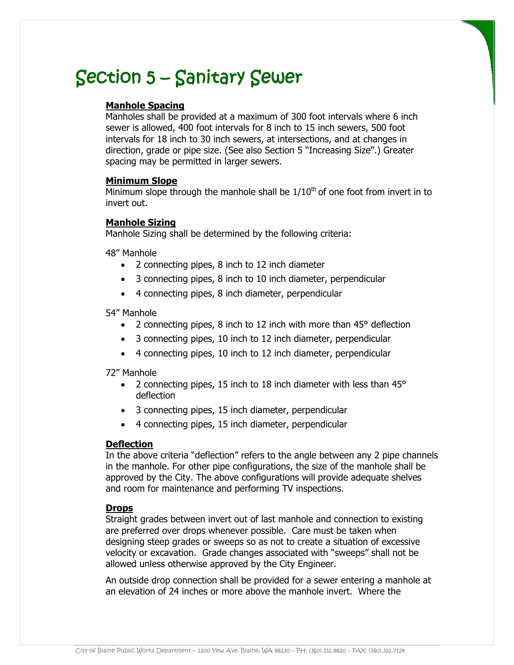## **Manhole Spacing**

Manholes shall be provided at a maximum of 300 foot intervals where 6 inch sewer is allowed, 400 foot intervals for 8 inch to 15 inch sewers, 500 foot intervals for 18 inch to 30 inch sewers, at intersections, and at changes in direction, grade or pipe size. (See also Section 5 "Increasing Size".) Greater spacing may be permitted in larger sewers.

#### **Minimum Slope**

Minimum slope through the manhole shall be  $1/10<sup>th</sup>$  of one foot from invert in to invert out.

#### **Manhole Sizing**

Manhole Sizing shall be determined by the following criteria:

48" Manhole

- 2 connecting pipes, 8 inch to 12 inch diameter
- 3 connecting pipes, 8 inch to 10 inch diameter, perpendicular
- 4 connecting pipes, 8 inch diameter, perpendicular

54" Manhole

- 2 connecting pipes, 8 inch to 12 inch with more than 45° deflection
- 3 connecting pipes, 10 inch to 12 inch diameter, perpendicular
- 4 connecting pipes, 10 inch to 12 inch diameter, perpendicular

72" Manhole

- 2 connecting pipes, 15 inch to 18 inch diameter with less than 45° deflection
- 3 connecting pipes, 15 inch diameter, perpendicular
- 4 connecting pipes, 15 inch diameter, perpendicular

#### **Deflection**

In the above criteria "deflection" refers to the angle between any 2 pipe channels in the manhole. For other pipe configurations, the size of the manhole shall be approved by the City. The above configurations will provide adequate shelves and room for maintenance and performing TV inspections.

#### **Drops**

Straight grades between invert out of last manhole and connection to existing are preferred over drops whenever possible. Care must be taken when designing steep grades or sweeps so as not to create a situation of excessive velocity or excavation. Grade changes associated with "sweeps" shall not be allowed unless otherwise approved by the City Engineer.

An outside drop connection shall be provided for a sewer entering a manhole at an elevation of 24 inches or more above the manhole invert. Where the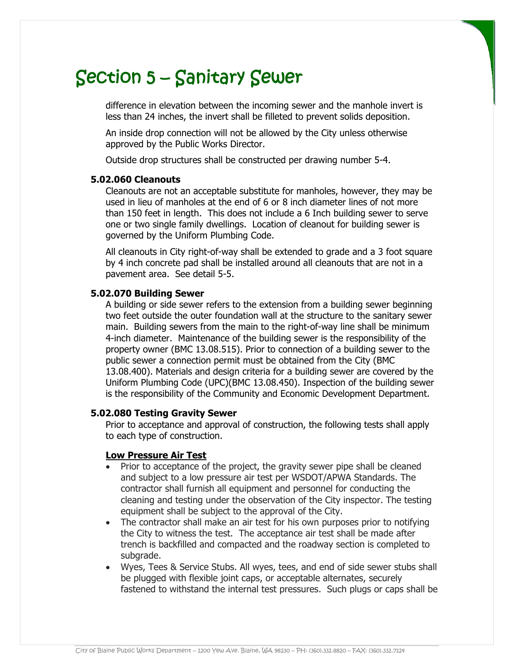difference in elevation between the incoming sewer and the manhole invert is less than 24 inches, the invert shall be filleted to prevent solids deposition.

An inside drop connection will not be allowed by the City unless otherwise approved by the Public Works Director.

Outside drop structures shall be constructed per drawing number 5-4.

#### **5.02.060 Cleanouts**

Cleanouts are not an acceptable substitute for manholes, however, they may be used in lieu of manholes at the end of 6 or 8 inch diameter lines of not more than 150 feet in length. This does not include a 6 Inch building sewer to serve one or two single family dwellings. Location of cleanout for building sewer is governed by the Uniform Plumbing Code.

All cleanouts in City right-of-way shall be extended to grade and a 3 foot square by 4 inch concrete pad shall be installed around all cleanouts that are not in a pavement area. See detail 5-5.

#### **5.02.070 Building Sewer**

A building or side sewer refers to the extension from a building sewer beginning two feet outside the outer foundation wall at the structure to the sanitary sewer main. Building sewers from the main to the right-of-way line shall be minimum 4-inch diameter. Maintenance of the building sewer is the responsibility of the property owner (BMC 13.08.515). Prior to connection of a building sewer to the public sewer a connection permit must be obtained from the City (BMC 13.08.400). Materials and design criteria for a building sewer are covered by the Uniform Plumbing Code (UPC)(BMC 13.08.450). Inspection of the building sewer is the responsibility of the Community and Economic Development Department.

#### **5.02.080 Testing Gravity Sewer**

Prior to acceptance and approval of construction, the following tests shall apply to each type of construction.

#### **Low Pressure Air Test**

- Prior to acceptance of the project, the gravity sewer pipe shall be cleaned and subject to a low pressure air test per WSDOT/APWA Standards. The contractor shall furnish all equipment and personnel for conducting the cleaning and testing under the observation of the City inspector. The testing equipment shall be subject to the approval of the City.
- The contractor shall make an air test for his own purposes prior to notifying the City to witness the test. The acceptance air test shall be made after trench is backfilled and compacted and the roadway section is completed to subgrade.
- Wyes, Tees & Service Stubs. All wyes, tees, and end of side sewer stubs shall be plugged with flexible joint caps, or acceptable alternates, securely fastened to withstand the internal test pressures. Such plugs or caps shall be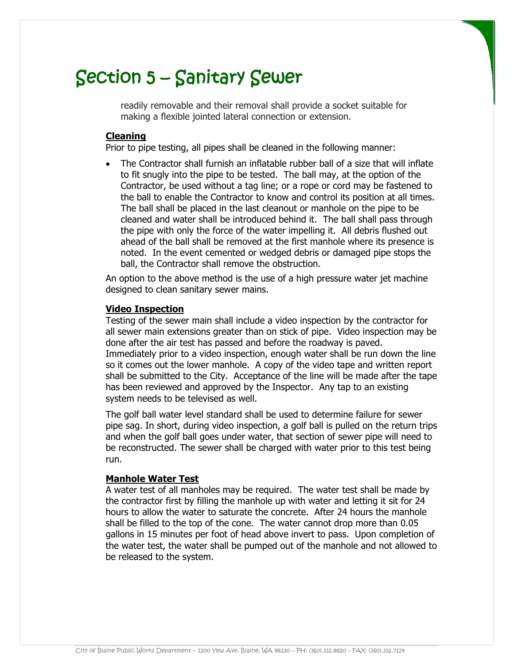readily removable and their removal shall provide a socket suitable for making a flexible jointed lateral connection or extension.

### **Cleaning**

Prior to pipe testing, all pipes shall be cleaned in the following manner:

 The Contractor shall furnish an inflatable rubber ball of a size that will inflate to fit snugly into the pipe to be tested. The ball may, at the option of the Contractor, be used without a tag line; or a rope or cord may be fastened to the ball to enable the Contractor to know and control its position at all times. The ball shall be placed in the last cleanout or manhole on the pipe to be cleaned and water shall be introduced behind it. The ball shall pass through the pipe with only the force of the water impelling it. All debris flushed out ahead of the ball shall be removed at the first manhole where its presence is noted. In the event cemented or wedged debris or damaged pipe stops the ball, the Contractor shall remove the obstruction.

An option to the above method is the use of a high pressure water jet machine designed to clean sanitary sewer mains.

#### **Video Inspection**

Testing of the sewer main shall include a video inspection by the contractor for all sewer main extensions greater than on stick of pipe. Video inspection may be done after the air test has passed and before the roadway is paved. Immediately prior to a video inspection, enough water shall be run down the line so it comes out the lower manhole. A copy of the video tape and written report shall be submitted to the City. Acceptance of the line will be made after the tape has been reviewed and approved by the Inspector. Any tap to an existing system needs to be televised as well.

The golf ball water level standard shall be used to determine failure for sewer pipe sag. In short, during video inspection, a golf ball is pulled on the return trips and when the golf ball goes under water, that section of sewer pipe will need to be reconstructed. The sewer shall be charged with water prior to this test being run.

#### **Manhole Water Test**

A water test of all manholes may be required. The water test shall be made by the contractor first by filling the manhole up with water and letting it sit for 24 hours to allow the water to saturate the concrete. After 24 hours the manhole shall be filled to the top of the cone. The water cannot drop more than 0.05 gallons in 15 minutes per foot of head above invert to pass. Upon completion of the water test, the water shall be pumped out of the manhole and not allowed to be released to the system.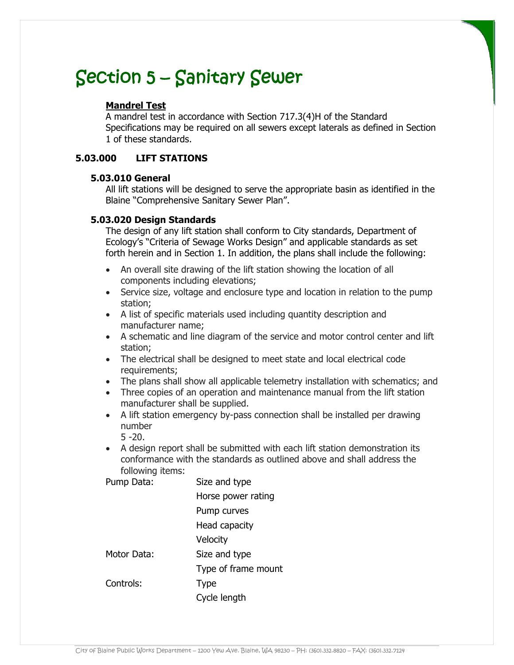## **Mandrel Test**

A mandrel test in accordance with Section 717.3(4)H of the Standard Specifications may be required on all sewers except laterals as defined in Section 1 of these standards.

## **5.03.000 LIFT STATIONS**

## **5.03.010 General**

All lift stations will be designed to serve the appropriate basin as identified in the Blaine "Comprehensive Sanitary Sewer Plan".

## **5.03.020 Design Standards**

The design of any lift station shall conform to City standards, Department of Ecology's "Criteria of Sewage Works Design" and applicable standards as set forth herein and in Section 1. In addition, the plans shall include the following:

- An overall site drawing of the lift station showing the location of all components including elevations;
- Service size, voltage and enclosure type and location in relation to the pump station;
- A list of specific materials used including quantity description and manufacturer name;
- A schematic and line diagram of the service and motor control center and lift station;
- The electrical shall be designed to meet state and local electrical code requirements;
- The plans shall show all applicable telemetry installation with schematics; and
- Three copies of an operation and maintenance manual from the lift station manufacturer shall be supplied.
- A lift station emergency by-pass connection shall be installed per drawing number 5 -20.
- A design report shall be submitted with each lift station demonstration its conformance with the standards as outlined above and shall address the following items:

Pump Data: Size and type

 Horse power rating Pump curves Head capacity Velocity Motor Data: Size and type Type of frame mount Controls: Type Cycle length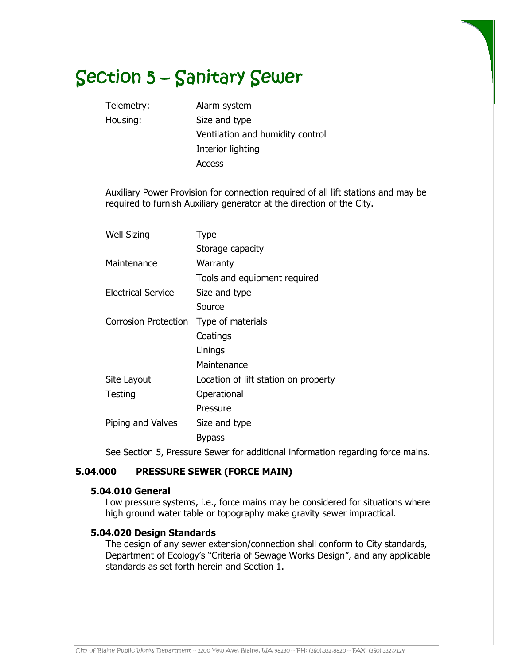Telemetry: Alarm system Housing: Size and type Ventilation and humidity control Interior lighting Access

 Auxiliary Power Provision for connection required of all lift stations and may be required to furnish Auxiliary generator at the direction of the City.

| <b>Well Sizing</b>   | Type                                 |
|----------------------|--------------------------------------|
|                      | Storage capacity                     |
| Maintenance          | Warranty                             |
|                      | Tools and equipment required         |
| Electrical Service   | Size and type                        |
|                      | Source                               |
| Corrosion Protection | Type of materials                    |
|                      | Coatings                             |
|                      | Linings                              |
|                      | Maintenance                          |
| Site Layout          | Location of lift station on property |
| Testing              | Operational                          |
|                      | Pressure                             |
| Piping and Valves    | Size and type                        |
|                      | Bypass                               |
|                      |                                      |

See Section 5, Pressure Sewer for additional information regarding force mains.

## **5.04.000 PRESSURE SEWER (FORCE MAIN)**

#### **5.04.010 General**

Low pressure systems, i.e., force mains may be considered for situations where high ground water table or topography make gravity sewer impractical.

#### **5.04.020 Design Standards**

The design of any sewer extension/connection shall conform to City standards, Department of Ecology's "Criteria of Sewage Works Design", and any applicable standards as set forth herein and Section 1.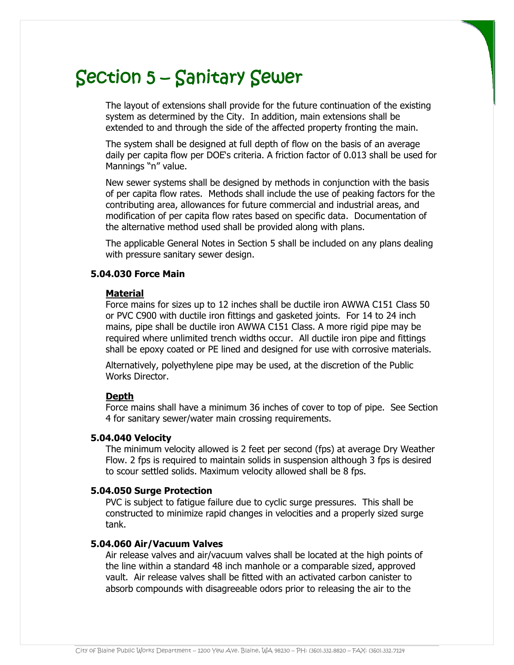The layout of extensions shall provide for the future continuation of the existing system as determined by the City. In addition, main extensions shall be extended to and through the side of the affected property fronting the main.

The system shall be designed at full depth of flow on the basis of an average daily per capita flow per DOE's criteria. A friction factor of 0.013 shall be used for Mannings "n" value.

New sewer systems shall be designed by methods in conjunction with the basis of per capita flow rates. Methods shall include the use of peaking factors for the contributing area, allowances for future commercial and industrial areas, and modification of per capita flow rates based on specific data. Documentation of the alternative method used shall be provided along with plans.

The applicable General Notes in Section 5 shall be included on any plans dealing with pressure sanitary sewer design.

## **5.04.030 Force Main**

#### **Material**

Force mains for sizes up to 12 inches shall be ductile iron AWWA C151 Class 50 or PVC C900 with ductile iron fittings and gasketed joints. For 14 to 24 inch mains, pipe shall be ductile iron AWWA C151 Class. A more rigid pipe may be required where unlimited trench widths occur. All ductile iron pipe and fittings shall be epoxy coated or PE lined and designed for use with corrosive materials.

Alternatively, polyethylene pipe may be used, at the discretion of the Public Works Director.

#### **Depth**

Force mains shall have a minimum 36 inches of cover to top of pipe. See Section 4 for sanitary sewer/water main crossing requirements.

#### **5.04.040 Velocity**

The minimum velocity allowed is 2 feet per second (fps) at average Dry Weather Flow. 2 fps is required to maintain solids in suspension although 3 fps is desired to scour settled solids. Maximum velocity allowed shall be 8 fps.

#### **5.04.050 Surge Protection**

PVC is subject to fatigue failure due to cyclic surge pressures. This shall be constructed to minimize rapid changes in velocities and a properly sized surge tank.

#### **5.04.060 Air/Vacuum Valves**

Air release valves and air/vacuum valves shall be located at the high points of the line within a standard 48 inch manhole or a comparable sized, approved vault. Air release valves shall be fitted with an activated carbon canister to absorb compounds with disagreeable odors prior to releasing the air to the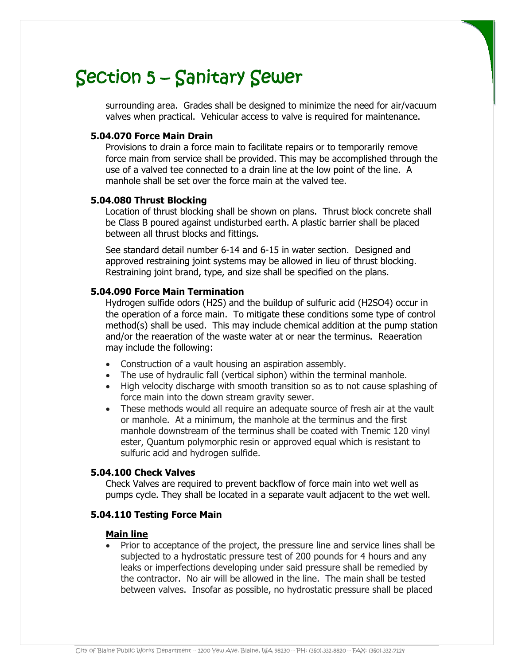surrounding area. Grades shall be designed to minimize the need for air/vacuum valves when practical. Vehicular access to valve is required for maintenance.

#### **5.04.070 Force Main Drain**

Provisions to drain a force main to facilitate repairs or to temporarily remove force main from service shall be provided. This may be accomplished through the use of a valved tee connected to a drain line at the low point of the line. A manhole shall be set over the force main at the valved tee.

#### **5.04.080 Thrust Blocking**

Location of thrust blocking shall be shown on plans. Thrust block concrete shall be Class B poured against undisturbed earth. A plastic barrier shall be placed between all thrust blocks and fittings.

See standard detail number 6-14 and 6-15 in water section. Designed and approved restraining joint systems may be allowed in lieu of thrust blocking. Restraining joint brand, type, and size shall be specified on the plans.

### **5.04.090 Force Main Termination**

Hydrogen sulfide odors (H2S) and the buildup of sulfuric acid (H2SO4) occur in the operation of a force main. To mitigate these conditions some type of control method(s) shall be used. This may include chemical addition at the pump station and/or the reaeration of the waste water at or near the terminus. Reaeration may include the following:

- Construction of a vault housing an aspiration assembly.
- The use of hydraulic fall (vertical siphon) within the terminal manhole.
- High velocity discharge with smooth transition so as to not cause splashing of force main into the down stream gravity sewer.
- These methods would all require an adequate source of fresh air at the vault or manhole. At a minimum, the manhole at the terminus and the first manhole downstream of the terminus shall be coated with Tnemic 120 vinyl ester, Quantum polymorphic resin or approved equal which is resistant to sulfuric acid and hydrogen sulfide.

#### **5.04.100 Check Valves**

Check Valves are required to prevent backflow of force main into wet well as pumps cycle. They shall be located in a separate vault adjacent to the wet well.

### **5.04.110 Testing Force Main**

#### **Main line**

• Prior to acceptance of the project, the pressure line and service lines shall be subjected to a hydrostatic pressure test of 200 pounds for 4 hours and any leaks or imperfections developing under said pressure shall be remedied by the contractor. No air will be allowed in the line. The main shall be tested between valves. Insofar as possible, no hydrostatic pressure shall be placed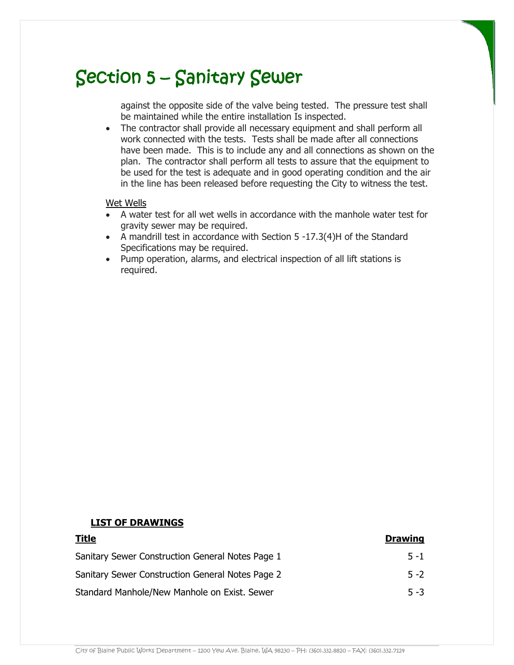against the opposite side of the valve being tested. The pressure test shall be maintained while the entire installation Is inspected.

 The contractor shall provide all necessary equipment and shall perform all work connected with the tests. Tests shall be made after all connections have been made. This is to include any and all connections as shown on the plan. The contractor shall perform all tests to assure that the equipment to be used for the test is adequate and in good operating condition and the air in the line has been released before requesting the City to witness the test.

#### Wet Wells

- A water test for all wet wells in accordance with the manhole water test for gravity sewer may be required.
- A mandrill test in accordance with Section 5 -17.3(4)H of the Standard Specifications may be required.
- Pump operation, alarms, and electrical inspection of all lift stations is required.

#### **LIST OF DRAWINGS**

| <u>Title</u>                                     | <b>Drawing</b> |
|--------------------------------------------------|----------------|
| Sanitary Sewer Construction General Notes Page 1 | $5 - 1$        |
| Sanitary Sewer Construction General Notes Page 2 | $5 - 2$        |
| Standard Manhole/New Manhole on Exist. Sewer     | $5 - 3$        |